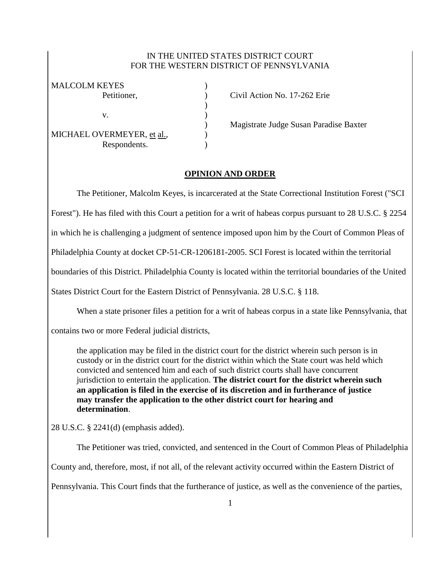## IN THE UNITED STATES DISTRICT COURT FOR THE WESTERN DISTRICT OF PENNSYLVANIA

| <b>MALCOLM KEYES</b>       |  |
|----------------------------|--|
| Petitioner,                |  |
|                            |  |
| V.                         |  |
|                            |  |
| MICHAEL OVERMEYER, et al., |  |
| Respondents.               |  |

Civil Action No. 17-262 Erie

) Magistrate Judge Susan Paradise Baxter

## **OPINION AND ORDER**

The Petitioner, Malcolm Keyes, is incarcerated at the State Correctional Institution Forest ("SCI

Forest"). He has filed with this Court a petition for a writ of habeas corpus pursuant to 28 U.S.C. § 2254

in which he is challenging a judgment of sentence imposed upon him by the Court of Common Pleas of

Philadelphia County at docket CP-51-CR-1206181-2005. SCI Forest is located within the territorial

boundaries of this District. Philadelphia County is located within the territorial boundaries of the United

States District Court for the Eastern District of Pennsylvania. 28 U.S.C. § 118.

When a state prisoner files a petition for a writ of habeas corpus in a state like Pennsylvania, that

contains two or more Federal judicial districts,

the application may be filed in the district court for the district wherein such person is in custody or in the district court for the district within which the State court was held which convicted and sentenced him and each of such district courts shall have concurrent jurisdiction to entertain the application. **The district court for the district wherein such an application is filed in the exercise of its discretion and in furtherance of justice may transfer the application to the other district court for hearing and determination**.

28 U.S.C. § 2241(d) (emphasis added).

The Petitioner was tried, convicted, and sentenced in the Court of Common Pleas of Philadelphia County and, therefore, most, if not all, of the relevant activity occurred within the Eastern District of Pennsylvania. This Court finds that the furtherance of justice, as well as the convenience of the parties,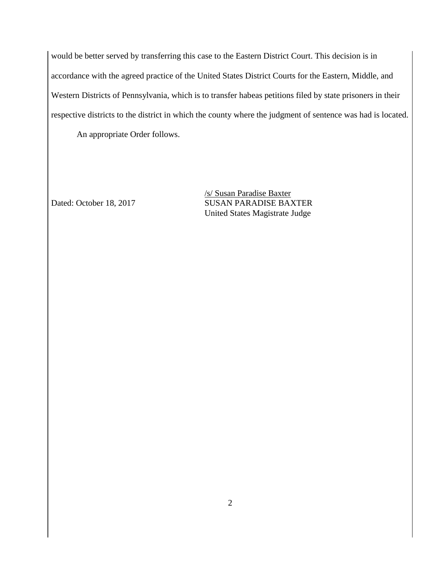would be better served by transferring this case to the Eastern District Court. This decision is in accordance with the agreed practice of the United States District Courts for the Eastern, Middle, and Western Districts of Pennsylvania, which is to transfer habeas petitions filed by state prisoners in their respective districts to the district in which the county where the judgment of sentence was had is located. An appropriate Order follows.

/s/ Susan Paradise Baxter Dated: October 18, 2017 SUSAN PARADISE BAXTER United States Magistrate Judge